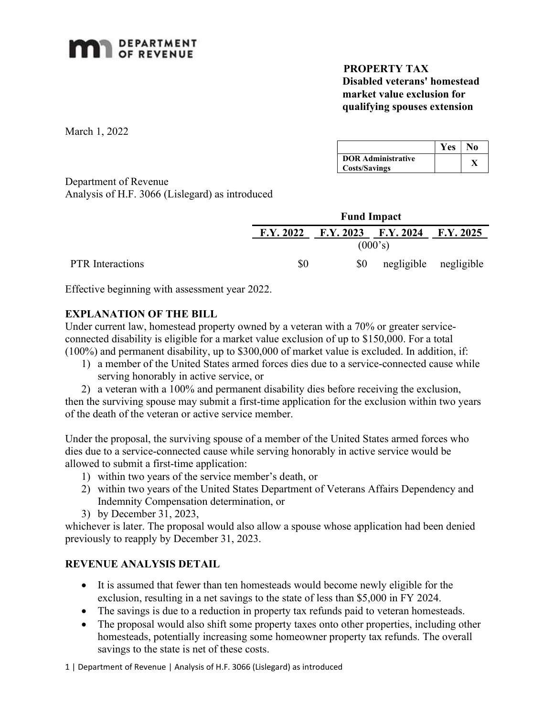# **MIN** DEPARTMENT

#### PROPERTY TAX Disabled veterans' homestead market value exclusion for qualifying spouses extension

March 1, 2022

|                                                   | Y es | ١o |
|---------------------------------------------------|------|----|
| <b>DOR Administrative</b><br><b>Costs/Savings</b> |      |    |

Department of Revenue Analysis of H.F. 3066 (Lislegard) as introduced

|                         | <b>Fund Impact</b> |           |            |            |
|-------------------------|--------------------|-----------|------------|------------|
|                         | F.Y. 2022          | F.Y. 2023 | F.Y. 2024  | F.Y. 2025  |
|                         | (000's)            |           |            |            |
| <b>PTR</b> Interactions | \$0                | \$0       | negligible | negligible |

Effective beginning with assessment year 2022.

### EXPLANATION OF THE BILL

Under current law, homestead property owned by a veteran with a 70% or greater serviceconnected disability is eligible for a market value exclusion of up to \$150,000. For a total (100%) and permanent disability, up to \$300,000 of market value is excluded. In addition, if:

1) a member of the United States armed forces dies due to a service-connected cause while serving honorably in active service, or

2) a veteran with a 100% and permanent disability dies before receiving the exclusion, then the surviving spouse may submit a first-time application for the exclusion within two years of the death of the veteran or active service member.

Under the proposal, the surviving spouse of a member of the United States armed forces who dies due to a service-connected cause while serving honorably in active service would be allowed to submit a first-time application:

- 1) within two years of the service member's death, or
- 2) within two years of the United States Department of Veterans Affairs Dependency and Indemnity Compensation determination, or
- 3) by December 31, 2023,

whichever is later. The proposal would also allow a spouse whose application had been denied previously to reapply by December 31, 2023.

### REVENUE ANALYSIS DETAIL

- It is assumed that fewer than ten homesteads would become newly eligible for the exclusion, resulting in a net savings to the state of less than \$5,000 in FY 2024.
- The savings is due to a reduction in property tax refunds paid to veteran homesteads.
- The proposal would also shift some property taxes onto other properties, including other homesteads, potentially increasing some homeowner property tax refunds. The overall savings to the state is net of these costs.

1 | Department of Revenue | Analysis of H.F. 3066 (Lislegard) as introduced